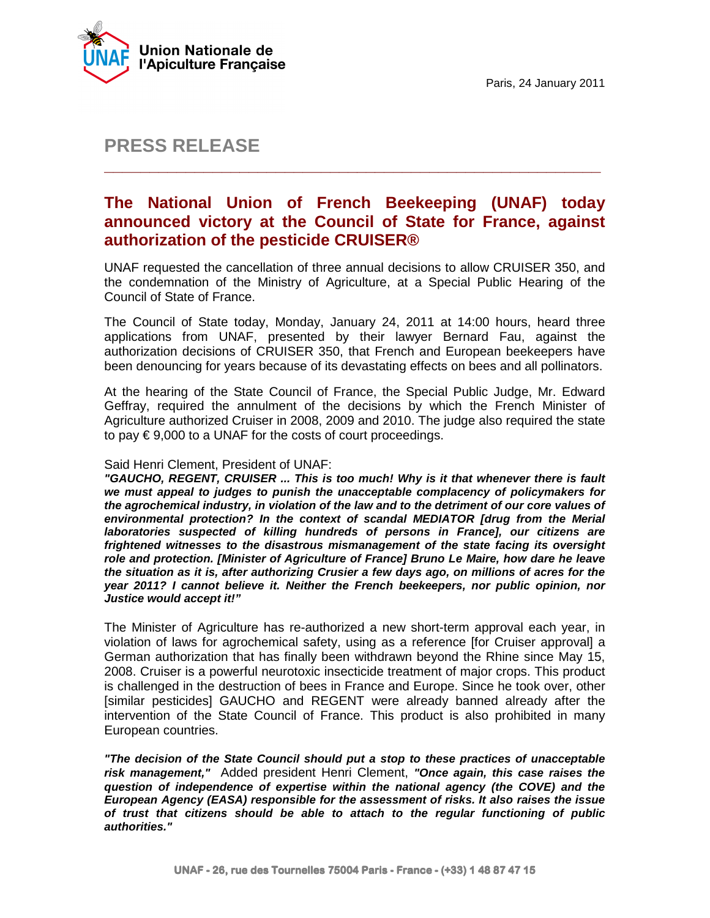

# **PRESS RELEASE**

## **The National Union of French Beekeeping (UNAF) today announced victory at the Council of State for France, against authorization of the pesticide CRUISER®**

**\_\_\_\_\_\_\_\_\_\_\_\_\_\_\_\_\_\_\_\_\_\_\_\_\_\_\_\_\_\_\_\_\_\_\_\_\_\_\_\_\_\_\_\_\_\_\_\_\_\_\_\_\_\_\_** 

UNAF requested the cancellation of three annual decisions to allow CRUISER 350, and the condemnation of the Ministry of Agriculture, at a Special Public Hearing of the Council of State of France.

The Council of State today, Monday, January 24, 2011 at 14:00 hours, heard three applications from UNAF, presented by their lawyer Bernard Fau, against the authorization decisions of CRUISER 350, that French and European beekeepers have been denouncing for years because of its devastating effects on bees and all pollinators.

At the hearing of the State Council of France, the Special Public Judge, Mr. Edward Geffray, required the annulment of the decisions by which the French Minister of Agriculture authorized Cruiser in 2008, 2009 and 2010. The judge also required the state to pay  $\epsilon$  9,000 to a UNAF for the costs of court proceedings.

#### Said Henri Clement, President of UNAF:

**"GAUCHO, REGENT, CRUISER ... This is too much! Why is it that whenever there is fault we must appeal to judges to punish the unacceptable complacency of policymakers for the agrochemical industry, in violation of the law and to the detriment of our core values of environmental protection? In the context of scandal MEDIATOR [drug from the Merial laboratories suspected of killing hundreds of persons in France], our citizens are frightened witnesses to the disastrous mismanagement of the state facing its oversight role and protection. [Minister of Agriculture of France] Bruno Le Maire, how dare he leave the situation as it is, after authorizing Crusier a few days ago, on millions of acres for the year 2011? I cannot believe it. Neither the French beekeepers, nor public opinion, nor Justice would accept it!"** 

The Minister of Agriculture has re-authorized a new short-term approval each year, in violation of laws for agrochemical safety, using as a reference [for Cruiser approval] a German authorization that has finally been withdrawn beyond the Rhine since May 15, 2008. Cruiser is a powerful neurotoxic insecticide treatment of major crops. This product is challenged in the destruction of bees in France and Europe. Since he took over, other [similar pesticides] GAUCHO and REGENT were already banned already after the intervention of the State Council of France. This product is also prohibited in many European countries.

**"The decision of the State Council should put a stop to these practices of unacceptable risk management,"** Added president Henri Clement, **"Once again, this case raises the question of independence of expertise within the national agency (the COVE) and the European Agency (EASA) responsible for the assessment of risks. It also raises the issue of trust that citizens should be able to attach to the regular functioning of public authorities."**